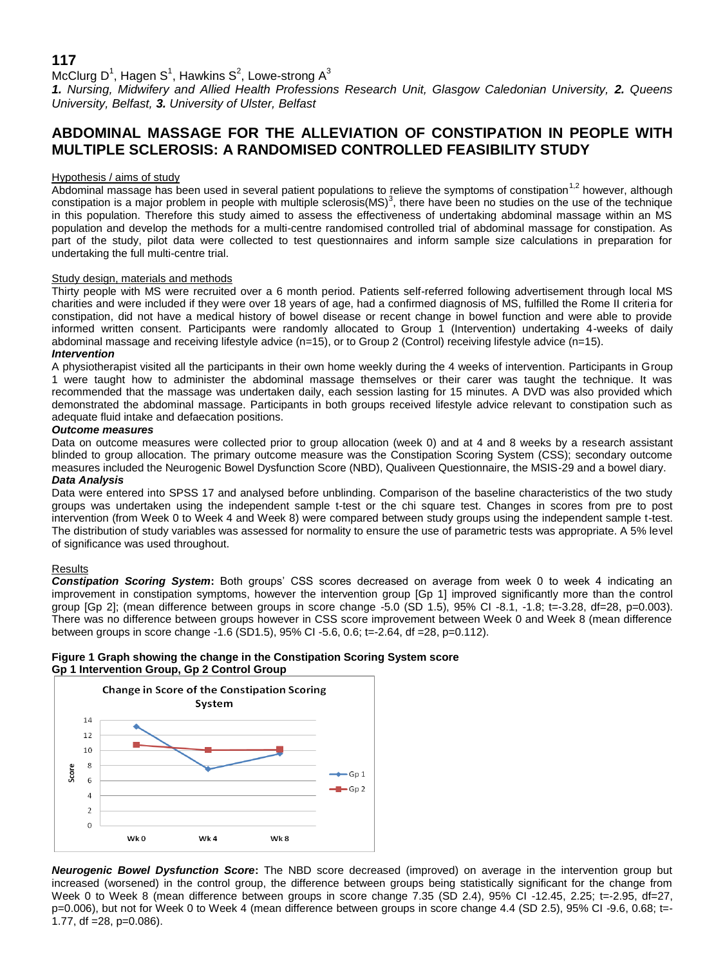# **117**

McClurg D<sup>1</sup>, Hagen S<sup>1</sup>, Hawkins S<sup>2</sup>, Lowe-strong A<sup>3</sup>

*1. Nursing, Midwifery and Allied Health Professions Research Unit, Glasgow Caledonian University, 2. Queens University, Belfast, 3. University of Ulster, Belfast*

## **ABDOMINAL MASSAGE FOR THE ALLEVIATION OF CONSTIPATION IN PEOPLE WITH MULTIPLE SCLEROSIS: A RANDOMISED CONTROLLED FEASIBILITY STUDY**

### Hypothesis / aims of study

Abdominal massage has been used in several patient populations to relieve the symptoms of constipation<sup>1,2</sup> however, although constipation is a major problem in people with multiple sclerosis(MS)<sup>3</sup>, there have been no studies on the use of the technique in this population. Therefore this study aimed to assess the effectiveness of undertaking abdominal massage within an MS population and develop the methods for a multi-centre randomised controlled trial of abdominal massage for constipation. As part of the study, pilot data were collected to test questionnaires and inform sample size calculations in preparation for undertaking the full multi-centre trial.

## Study design, materials and methods

Thirty people with MS were recruited over a 6 month period. Patients self-referred following advertisement through local MS charities and were included if they were over 18 years of age, had a confirmed diagnosis of MS, fulfilled the Rome II criteria for constipation, did not have a medical history of bowel disease or recent change in bowel function and were able to provide informed written consent. Participants were randomly allocated to Group 1 (Intervention) undertaking 4-weeks of daily abdominal massage and receiving lifestyle advice (n=15), or to Group 2 (Control) receiving lifestyle advice (n=15). *Intervention*

A physiotherapist visited all the participants in their own home weekly during the 4 weeks of intervention. Participants in Group 1 were taught how to administer the abdominal massage themselves or their carer was taught the technique. It was recommended that the massage was undertaken daily, each session lasting for 15 minutes. A DVD was also provided which demonstrated the abdominal massage. Participants in both groups received lifestyle advice relevant to constipation such as adequate fluid intake and defaecation positions.

#### *Outcome measures*

Data on outcome measures were collected prior to group allocation (week 0) and at 4 and 8 weeks by a research assistant blinded to group allocation. The primary outcome measure was the Constipation Scoring System (CSS); secondary outcome measures included the Neurogenic Bowel Dysfunction Score (NBD), Qualiveen Questionnaire, the MSIS-29 and a bowel diary. *Data Analysis*

Data were entered into SPSS 17 and analysed before unblinding. Comparison of the baseline characteristics of the two study groups was undertaken using the independent sample t-test or the chi square test. Changes in scores from pre to post intervention (from Week 0 to Week 4 and Week 8) were compared between study groups using the independent sample t-test. The distribution of study variables was assessed for normality to ensure the use of parametric tests was appropriate. A 5% level of significance was used throughout.

#### Results

*Constipation Scoring System***:** Both groups' CSS scores decreased on average from week 0 to week 4 indicating an improvement in constipation symptoms, however the intervention group [Gp 1] improved significantly more than the control group [Gp 2]; (mean difference between groups in score change -5.0 (SD 1.5), 95% CI -8.1, -1.8; t=-3.28, df=28, p=0.003). There was no difference between groups however in CSS score improvement between Week 0 and Week 8 (mean difference between groups in score change -1.6 (SD1.5), 95% CI -5.6, 0.6; t=-2.64, df =28, p=0.112).

## **Figure 1 Graph showing the change in the Constipation Scoring System score Gp 1 Intervention Group, Gp 2 Control Group**



*Neurogenic Bowel Dysfunction Score***:** The NBD score decreased (improved) on average in the intervention group but increased (worsened) in the control group, the difference between groups being statistically significant for the change from Week 0 to Week 8 (mean difference between groups in score change 7.35 (SD 2.4), 95% CI -12.45, 2.25; t=-2.95, df=27, p=0.006), but not for Week 0 to Week 4 (mean difference between groups in score change 4.4 (SD 2.5), 95% CI-9.6, 0.68; t=-1.77, df =  $28$ , p= $0.086$ ).